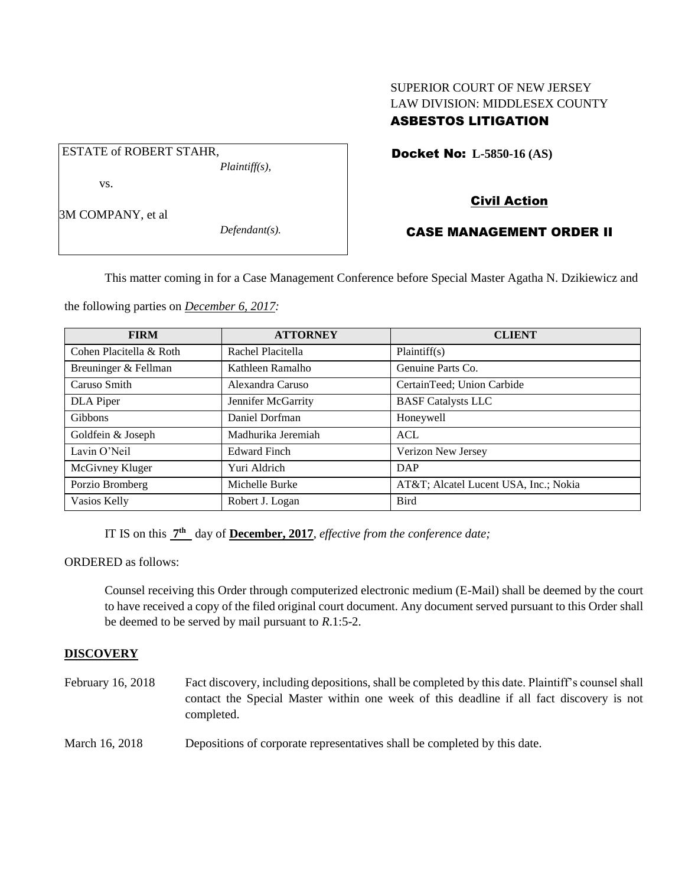# SUPERIOR COURT OF NEW JERSEY LAW DIVISION: MIDDLESEX COUNTY ASBESTOS LITIGATION

Docket No: **L-5850-16 (AS)** 

vs.

ESTATE of ROBERT STAHR,

3M COMPANY, et al

*Defendant(s).*

*Plaintiff(s),*

# Civil Action

# CASE MANAGEMENT ORDER II

This matter coming in for a Case Management Conference before Special Master Agatha N. Dzikiewicz and

the following parties on *December 6, 2017:*

| <b>FIRM</b>             | <b>ATTORNEY</b>     | <b>CLIENT</b>                        |
|-------------------------|---------------------|--------------------------------------|
| Cohen Placitella & Roth | Rachel Placitella   | Plaintiff(s)                         |
| Breuninger & Fellman    | Kathleen Ramalho    | Genuine Parts Co.                    |
| Caruso Smith            | Alexandra Caruso    | CertainTeed; Union Carbide           |
| DLA Piper               | Jennifer McGarrity  | <b>BASF</b> Catalysts LLC            |
| Gibbons                 | Daniel Dorfman      | Honeywell                            |
| Goldfein & Joseph       | Madhurika Jeremiah  | ACL                                  |
| Lavin O'Neil            | <b>Edward Finch</b> | Verizon New Jersey                   |
| McGivney Kluger         | Yuri Aldrich        | DAP                                  |
| Porzio Bromberg         | Michelle Burke      | AT&T Alcatel Lucent USA, Inc.; Nokia |
| Vasios Kelly            | Robert J. Logan     | <b>Bird</b>                          |

IT IS on this **7 th** day of **December, 2017**, *effective from the conference date;*

ORDERED as follows:

Counsel receiving this Order through computerized electronic medium (E-Mail) shall be deemed by the court to have received a copy of the filed original court document. Any document served pursuant to this Order shall be deemed to be served by mail pursuant to *R*.1:5-2.

### **DISCOVERY**

| February 16, 2018 | Fact discovery, including depositions, shall be completed by this date. Plaintiff's counsel shall<br>contact the Special Master within one week of this deadline if all fact discovery is not<br>completed. |
|-------------------|-------------------------------------------------------------------------------------------------------------------------------------------------------------------------------------------------------------|
| March 16, 2018    | Depositions of corporate representatives shall be completed by this date.                                                                                                                                   |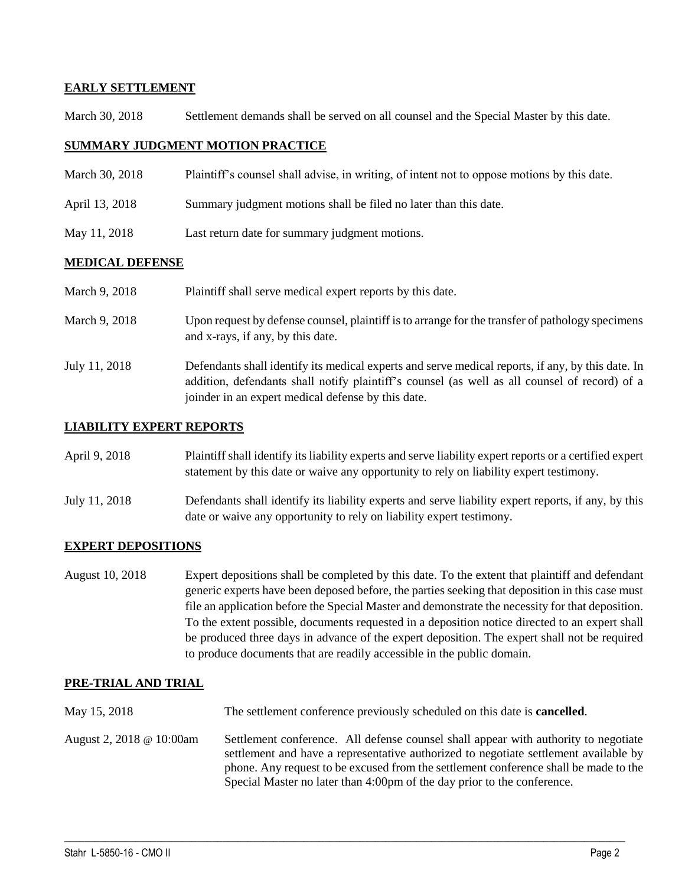## **EARLY SETTLEMENT**

March 30, 2018 Settlement demands shall be served on all counsel and the Special Master by this date.

### **SUMMARY JUDGMENT MOTION PRACTICE**

- March 30, 2018 Plaintiff's counsel shall advise, in writing, of intent not to oppose motions by this date.
- April 13, 2018 Summary judgment motions shall be filed no later than this date.
- May 11, 2018 Last return date for summary judgment motions.

#### **MEDICAL DEFENSE**

| March 9, 2018 | Plaintiff shall serve medical expert reports by this date.                                                                                                                                                                                               |
|---------------|----------------------------------------------------------------------------------------------------------------------------------------------------------------------------------------------------------------------------------------------------------|
| March 9, 2018 | Upon request by defense counsel, plaintiff is to arrange for the transfer of pathology specimens<br>and x-rays, if any, by this date.                                                                                                                    |
| July 11, 2018 | Defendants shall identify its medical experts and serve medical reports, if any, by this date. In<br>addition, defendants shall notify plaintiff's counsel (as well as all counsel of record) of a<br>joinder in an expert medical defense by this date. |

### **LIABILITY EXPERT REPORTS**

| April 9, 2018 | Plaintiff shall identify its liability experts and serve liability expert reports or a certified expert |
|---------------|---------------------------------------------------------------------------------------------------------|
|               | statement by this date or waive any opportunity to rely on liability expert testimony.                  |

July 11, 2018 Defendants shall identify its liability experts and serve liability expert reports, if any, by this date or waive any opportunity to rely on liability expert testimony.

## **EXPERT DEPOSITIONS**

August 10, 2018 Expert depositions shall be completed by this date. To the extent that plaintiff and defendant generic experts have been deposed before, the parties seeking that deposition in this case must file an application before the Special Master and demonstrate the necessity for that deposition. To the extent possible, documents requested in a deposition notice directed to an expert shall be produced three days in advance of the expert deposition. The expert shall not be required to produce documents that are readily accessible in the public domain.

#### **PRE-TRIAL AND TRIAL**

- May 15, 2018 The settlement conference previously scheduled on this date is **cancelled**.
- August 2, 2018 @ 10:00am Settlement conference. All defense counsel shall appear with authority to negotiate settlement and have a representative authorized to negotiate settlement available by phone. Any request to be excused from the settlement conference shall be made to the Special Master no later than 4:00pm of the day prior to the conference.

 $\_$  ,  $\_$  ,  $\_$  ,  $\_$  ,  $\_$  ,  $\_$  ,  $\_$  ,  $\_$  ,  $\_$  ,  $\_$  ,  $\_$  ,  $\_$  ,  $\_$  ,  $\_$  ,  $\_$  ,  $\_$  ,  $\_$  ,  $\_$  ,  $\_$  ,  $\_$  ,  $\_$  ,  $\_$  ,  $\_$  ,  $\_$  ,  $\_$  ,  $\_$  ,  $\_$  ,  $\_$  ,  $\_$  ,  $\_$  ,  $\_$  ,  $\_$  ,  $\_$  ,  $\_$  ,  $\_$  ,  $\_$  ,  $\_$  ,